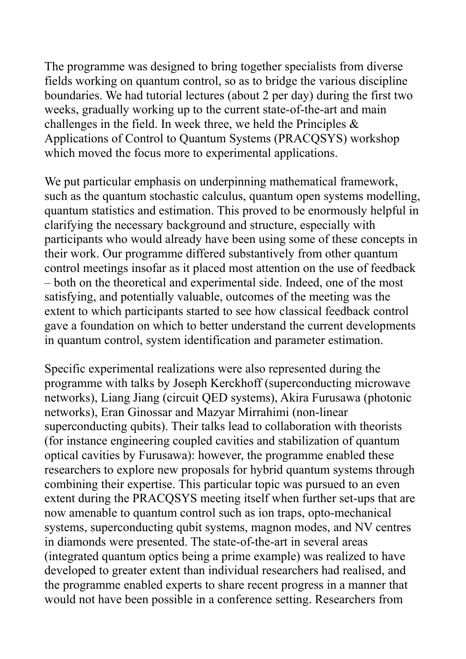The programme was designed to bring together specialists from diverse fields working on quantum control, so as to bridge the various discipline boundaries. We had tutorial lectures (about 2 per day) during the first two weeks, gradually working up to the current state-of-the-art and main challenges in the field. In week three, we held the Principles & Applications of Control to Quantum Systems (PRACQSYS) workshop which moved the focus more to experimental applications.

We put particular emphasis on underpinning mathematical framework, such as the quantum stochastic calculus, quantum open systems modelling, quantum statistics and estimation. This proved to be enormously helpful in clarifying the necessary background and structure, especially with participants who would already have been using some of these concepts in their work. Our programme differed substantively from other quantum control meetings insofar as it placed most attention on the use of feedback – both on the theoretical and experimental side. Indeed, one of the most satisfying, and potentially valuable, outcomes of the meeting was the extent to which participants started to see how classical feedback control gave a foundation on which to better understand the current developments in quantum control, system identification and parameter estimation.

Specific experimental realizations were also represented during the programme with talks by Joseph Kerckhoff (superconducting microwave networks), Liang Jiang (circuit QED systems), Akira Furusawa (photonic networks), Eran Ginossar and Mazyar Mirrahimi (non-linear superconducting qubits). Their talks lead to collaboration with theorists (for instance engineering coupled cavities and stabilization of quantum optical cavities by Furusawa): however, the programme enabled these researchers to explore new proposals for hybrid quantum systems through combining their expertise. This particular topic was pursued to an even extent during the PRACQSYS meeting itself when further set-ups that are now amenable to quantum control such as ion traps, opto-mechanical systems, superconducting qubit systems, magnon modes, and NV centres in diamonds were presented. The state-of-the-art in several areas (integrated quantum optics being a prime example) was realized to have developed to greater extent than individual researchers had realised, and the programme enabled experts to share recent progress in a manner that would not have been possible in a conference setting. Researchers from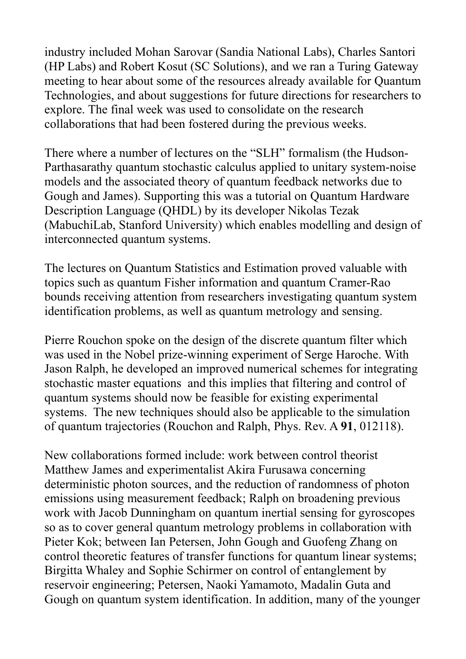industry included Mohan Sarovar (Sandia National Labs), Charles Santori (HP Labs) and Robert Kosut (SC Solutions), and we ran a Turing Gateway meeting to hear about some of the resources already available for Quantum Technologies, and about suggestions for future directions for researchers to explore. The final week was used to consolidate on the research collaborations that had been fostered during the previous weeks.

There where a number of lectures on the "SLH" formalism (the Hudson-Parthasarathy quantum stochastic calculus applied to unitary system-noise models and the associated theory of quantum feedback networks due to Gough and James). Supporting this was a tutorial on Quantum Hardware Description Language (QHDL) by its developer Nikolas Tezak (MabuchiLab, Stanford University) which enables modelling and design of interconnected quantum systems.

The lectures on Quantum Statistics and Estimation proved valuable with topics such as quantum Fisher information and quantum Cramer-Rao bounds receiving attention from researchers investigating quantum system identification problems, as well as quantum metrology and sensing.

Pierre Rouchon spoke on the design of the discrete quantum filter which was used in the Nobel prize-winning experiment of Serge Haroche. With Jason Ralph, he developed an improved numerical schemes for integrating stochastic master equations and this implies that filtering and control of quantum systems should now be feasible for existing experimental systems. The new techniques should also be applicable to the simulation of quantum trajectories (Rouchon and Ralph, Phys. Rev. A **91**, 012118).

New collaborations formed include: work between control theorist Matthew James and experimentalist Akira Furusawa concerning deterministic photon sources, and the reduction of randomness of photon emissions using measurement feedback; Ralph on broadening previous work with Jacob Dunningham on quantum inertial sensing for gyroscopes so as to cover general quantum metrology problems in collaboration with Pieter Kok; between Ian Petersen, John Gough and Guofeng Zhang on control theoretic features of transfer functions for quantum linear systems; Birgitta Whaley and Sophie Schirmer on control of entanglement by reservoir engineering; Petersen, Naoki Yamamoto, Madalin Guta and Gough on quantum system identification. In addition, many of the younger